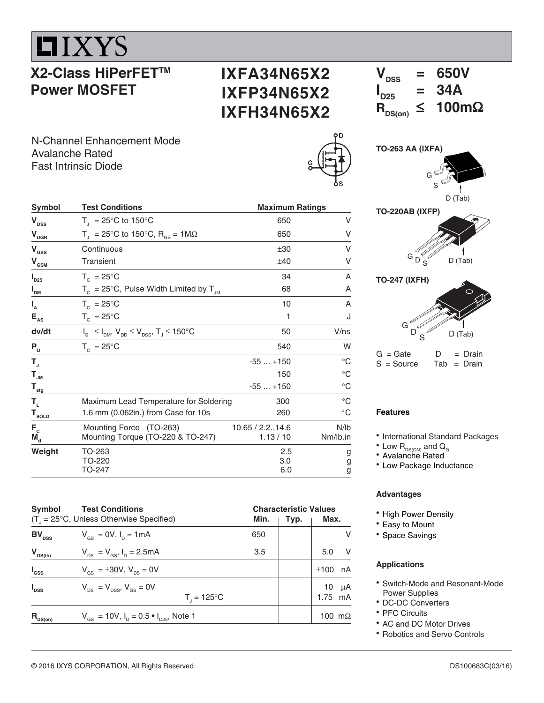**LIXYS** 

# **X2-Class HiPerFETTM Power MOSFET**

## **IXFA34N65X2 IXFP34N65X2 IXFH34N65X2**

 $V_{\text{DSS}}$  = 650V  $\mathbf{I}_{\mathsf{D25}}$  $= 34A$ <br> $\leq 100 \text{m}\Omega$  $R_{DS(on)}$ 

N-Channel Enhancement Mode Avalanche Rated Fast Intrinsic Diode





**TO-220AB (IXFP)**





| $G = G$ ate  | IJ | $=$ Drain     |
|--------------|----|---------------|
| $S = Source$ |    | $Tab = Drain$ |

#### **Features**

• International Standard Packages

- $^{\bullet}$  Low  $\mathsf{R}_{\textsf{\tiny{DS}(\tiny{ON}\textsf{)}}}$  and  $\mathsf{Q}_{_{\tiny{\textsf{G}}}}$
- Avalanche Rated
- Low Package Inductance

#### **Advantages**

- High Power Density
- Easy to Mount
- Space Savings

#### **Applications**

- Switch-Mode and Resonant-Mode Power Supplies
- DC-DC Converters
- PFC Circuits
- AC and DC Motor Drives
- Robotics and Servo Controls

| $\mathsf{V}_\mathsf{DSS}^{\phantom{\dag}}$                   | $T_{\text{I}}$ = 25°C to 150°C                                      | 650                        | ٧                |
|--------------------------------------------------------------|---------------------------------------------------------------------|----------------------------|------------------|
| $\bm{\mathsf{V}}_{\texttt{DGR}}$                             | $T_{\rm d}$ = 25°C to 150°C, R <sub>os</sub> = 1M $\Omega$          | 650                        | ٧                |
| ${\mathsf V}_{\rm ass}$                                      | Continuous                                                          | ±30                        | ٧                |
| $\mathsf{V}_{_{\mathsf{GSM}}}$                               | Transient                                                           | ±40                        |                  |
| $\mathsf{I}_{\texttt{D25}}$                                  | $T_c = 25^{\circ}$ C                                                | 34                         | Α                |
| I <sub>dm</sub>                                              | $T_c = 25^{\circ}$ C, Pulse Width Limited by $T_{JM}$               | 68                         | Α                |
| $\mathsf{I}_{\mathsf{A}}$                                    | $T_c = 25^{\circ}$ C                                                | 10                         | Α                |
| $E_{\rm As}$                                                 | $T_c = 25^{\circ}C$                                                 | 1                          |                  |
| dv/dt                                                        | $I_s \leq I_{DM}$ , $V_{DD} \leq V_{DSS}$ , $T_J \leq 150^{\circ}C$ | 50                         | V/ns             |
| $P_{D}$                                                      | $T_c = 25^{\circ}C$                                                 | 540                        | W                |
| T,                                                           |                                                                     | $-55+150$                  | $^{\circ}C$      |
| $\mathsf{T}_{\mathsf{JM}}$                                   |                                                                     | 150                        | $^{\circ}C$      |
| $\mathsf{T}_{_{\sf stg}}$                                    |                                                                     | $-55+150$                  | $^{\circ}C$      |
| T,                                                           | Maximum Lead Temperature for Soldering                              | 300                        | $^{\circ}C$      |
| ${\tt T}_{{\tt solD}}$                                       | 1.6 mm (0.062in.) from Case for 10s                                 | 260                        | $^{\circ}$ C     |
| $\mathsf{F}_{\text{c}}$<br>$\check{\mathtt{M}}_{\mathsf{d}}$ | Mounting Force (TO-263)<br>Mounting Torque (TO-220 & TO-247)        | 10.65 / 2.214.6<br>1.13/10 | N/lb<br>Nm/lb.in |
| Weight                                                       | TO-263<br>TO-220<br>TO-247                                          | 2.5<br>3.0<br>6.0          | g<br>g<br>g      |

Symbol Test Conditions **Maximum Ratings** Maximum Ratings

| Symbol            | <b>Test Conditions</b><br>$(T_{1} = 25^{\circ}C,$ Unless Otherwise Specified)   | Min. | <b>Characteristic Values</b><br>Max.<br>Typ. |                     |  |
|-------------------|---------------------------------------------------------------------------------|------|----------------------------------------------|---------------------|--|
| $BV_{\text{DSS}}$ | $V_{\text{gs}} = 0V, I_{\text{p}} = 1 \text{mA}$                                | 650  |                                              | v                   |  |
| $V_{GS(th)}$      | $V_{DS} = V_{GS}$ , $I_D = 2.5mA$                                               | 3.5  |                                              | - V<br>5.0          |  |
| $I_{\rm dss}$     | $V_{\text{es}} = \pm 30V$ , $V_{\text{es}} = 0V$                                |      |                                              | nA<br>±100          |  |
| $I_{\text{DSS}}$  | $V_{\text{ps}} = V_{\text{pss}}$ , $V_{\text{gs}} = 0V$<br>$T_1 = 125^{\circ}C$ |      |                                              | μA<br>10<br>1.75 mA |  |
| $R_{DS(on)}$      | $V_{\text{gs}} = 10V$ , $I_{\text{p}} = 0.5 \cdot I_{\text{pgs}}$ , Note 1      |      |                                              | 100 m $\Omega$      |  |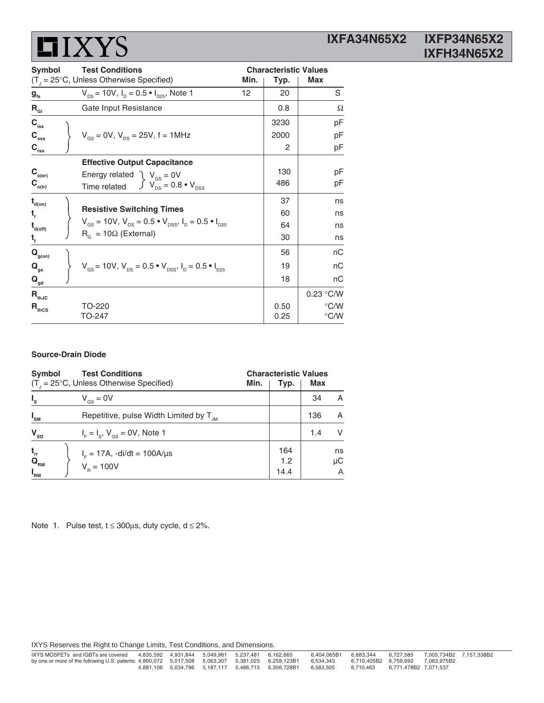| <b>Symbol</b>                                          | <b>Test Conditions</b>                                                                                         | <b>Characteristic Values</b> |      |               |  |
|--------------------------------------------------------|----------------------------------------------------------------------------------------------------------------|------------------------------|------|---------------|--|
|                                                        | $(T_{\text{I}} = 25^{\circ}C$ , Unless Otherwise Specified)                                                    | Min.                         | Typ. | Max           |  |
| $g_{\rm fs}$                                           | $V_{\text{ps}}$ = 10V, $I_{\text{p}}$ = 0.5 $\bullet$ $I_{\text{ps}}$ , Note 1                                 | 12                           | 20   | S             |  |
| $R_{\text{Gi}}$                                        | Gate Input Resistance                                                                                          |                              | 0.8  | Ω             |  |
| $C_{\text{iss}}$                                       |                                                                                                                |                              | 3230 | рF            |  |
| $\mathbf{C}_{_{\mathrm{oss}}}$                         | $V_{\text{gs}} = 0V$ , $V_{\text{ps}} = 25V$ , f = 1MHz                                                        |                              | 2000 | рF            |  |
| $C_{\rm rss}$                                          |                                                                                                                |                              | 2    | pF            |  |
|                                                        | <b>Effective Output Capacitance</b>                                                                            |                              |      |               |  |
| $\mathbf{C}_{_{\mathrm{o}\left( \mathrm{er}\right) }}$ | Energy related $\int V_{\text{gs}} = 0V$                                                                       |                              | 130  | pF            |  |
| $\mathbf{C}_{_{\mathrm{o(tr)}}}$                       | $\int V_{DS} = 0.8 \cdot V_{DSS}$<br>Time related                                                              |                              | 486  | pF            |  |
| $\mathbf{t}_{\mathsf{d}(on)}$                          |                                                                                                                |                              | 37   | ns            |  |
| t,                                                     | <b>Resistive Switching Times</b>                                                                               |                              | 60   | ns            |  |
| $\mathbf{t}_{\mathsf{d}(\mathsf{off})}$                | $V_{\text{gs}} = 10V$ , $V_{\text{DS}} = 0.5 \cdot V_{\text{DSS}}$ , $I_{\text{D}} = 0.5 \cdot I_{\text{D25}}$ |                              | 64   | ns            |  |
| $t_{f}$                                                | $R_{\alpha} = 10\Omega$ (External)                                                                             |                              | 30   | ns            |  |
| $\mathbf{Q}_{\text{g(on)}}$                            |                                                                                                                |                              | 56   | nС            |  |
| $Q_{gs}$                                               | $V_{\text{as}} = 10V, V_{\text{as}} = 0.5 \cdot V_{\text{DSS}}, I_{\text{b}} = 0.5 \cdot I_{\text{D25}}$       |                              | 19   | nС            |  |
| $\mathbf{Q}_{\underline{\mathrm{gd}}}$                 |                                                                                                                |                              | 18   | nС            |  |
| $\mathbf{R}_{\text{thJC}}$                             |                                                                                                                |                              |      | 0.23 °C/W     |  |
| $\mathsf{R}_{\text{thcs}}$                             | TO-220                                                                                                         |                              | 0.50 | $\degree$ C/W |  |
|                                                        | TO-247                                                                                                         |                              | 0.25 | °C/W          |  |

#### **Source-Drain Diode**

| <b>Symbol</b>                                             |                                                     | <b>Characteristic Values</b> |                    |     |               |
|-----------------------------------------------------------|-----------------------------------------------------|------------------------------|--------------------|-----|---------------|
|                                                           | $(T_{1} = 25^{\circ}C,$ Unless Otherwise Specified) | Min.                         | Typ.               | Max |               |
| $I_{s}$                                                   | $V_{\text{gs}} = 0V$                                |                              |                    | 34  | A             |
| $I_{\text{SM}}$                                           | Repetitive, pulse Width Limited by $T_{\mu}$        |                              |                    | 136 | A             |
| $\mathbf{V}_{\text{SD}}$                                  | $IF = Is$ , $Vgs = 0V$ , Note 1                     |                              |                    | 1.4 | V             |
| $t_{rr}$<br>$\mathbf{Q}_{_{\mathsf{RM}}}$<br>$I_{\rm RM}$ | $I_{F} = 17A$ , -di/dt = 100A/µs<br>$V_p = 100V$    |                              | 164<br>1.2<br>14.4 |     | ns<br>μC<br>A |

Note 1. Pulse test,  $t \le 300\mu s$ , duty cycle,  $d \le 2\%$ .

IXYS Reserves the Right to Change Limits, Test Conditions, and Dimensions.

| IXYS MOSFETs and IGBTs are covered                                                                |  | 4.835.592  4.931.844  5.049.961  5.237.481 | 6.162.665                                               | 6.404.065B1 | 6.683.344                             | 6.727.585 | 7.005.734B2 7.157.338B2 |  |
|---------------------------------------------------------------------------------------------------|--|--------------------------------------------|---------------------------------------------------------|-------------|---------------------------------------|-----------|-------------------------|--|
| by one or more of the following U.S. patents: 4,860,072 5,017,508 5,063,307 5,381,025 6,259,123B1 |  |                                            |                                                         | 6.534.343   | 6.710.405B2 6.759.692 7.063.975B2     |           |                         |  |
|                                                                                                   |  |                                            | 4.881.106  5.034.796  5.187.117  5.486.715  6.306.728B1 | 6.583.505   | 6.710.463    6.771.478B2    7.071.537 |           |                         |  |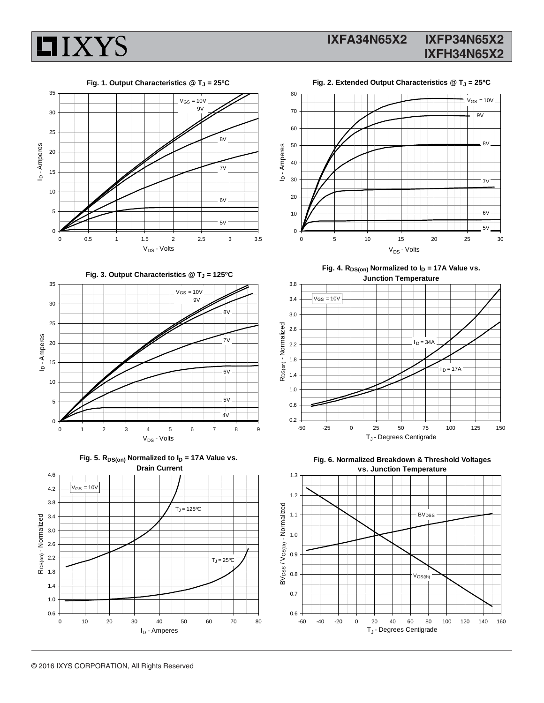





Fig. 2. Extended Output Characteristics @ T<sub>J</sub> = 25°C



Fig. 3. Output Characteristics @ T<sub>J</sub> = 125°C









Fig. 4. R<sub>DS(on)</sub> Normalized to  $I_D$  = 17A Value vs. **Junction Temperature**





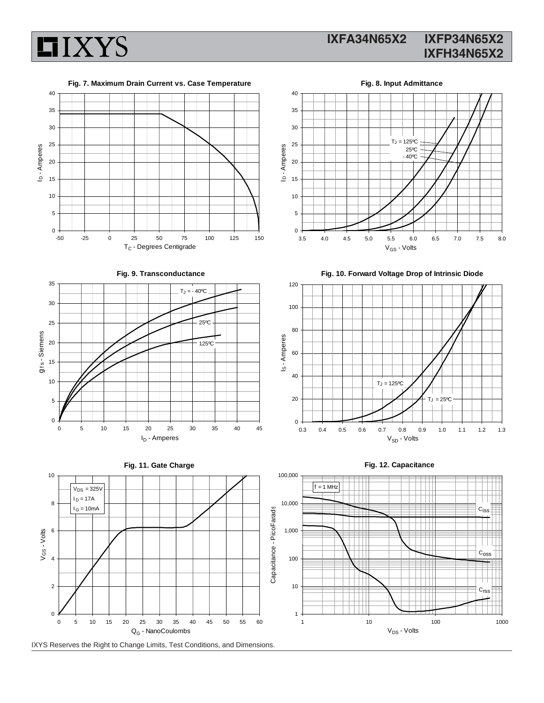

### **IXFA34N65X2 IXFP34N65X2 IXFH34N65X2**

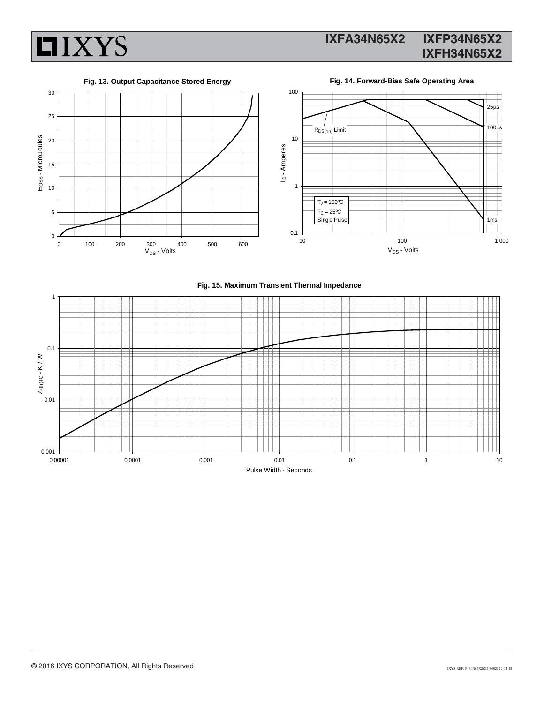